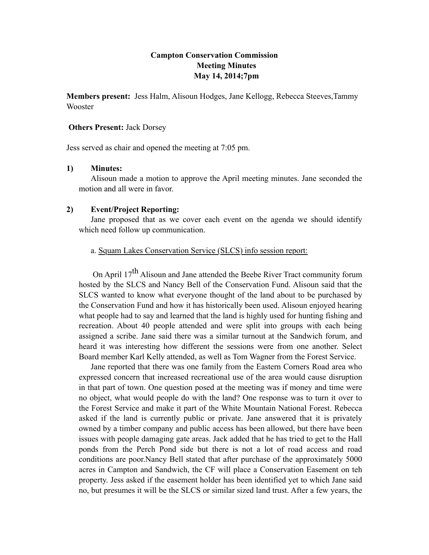## **Campton Conservation Commission Meeting Minutes May 14, 2014;7pm**

**Members present:** Jess Halm, Alisoun Hodges, Jane Kellogg, Rebecca Steeves,Tammy Wooster

#### **Others Present:** Jack Dorsey

Jess served as chair and opened the meeting at 7:05 pm.

### **1) Minutes:**

Alisoun made a motion to approve the April meeting minutes. Jane seconded the motion and all were in favor.

### **2) Event/Project Reporting:**

Jane proposed that as we cover each event on the agenda we should identify which need follow up communication.

## a. Squam Lakes Conservation Service (SLCS) info session report:

On April 17<sup>th</sup> Alisoun and Jane attended the Beebe River Tract community forum hosted by the SLCS and Nancy Bell of the Conservation Fund. Alisoun said that the SLCS wanted to know what everyone thought of the land about to be purchased by the Conservation Fund and how it has historically been used. Alisoun enjoyed hearing what people had to say and learned that the land is highly used for hunting fishing and recreation. About 40 people attended and were split into groups with each being assigned a scribe. Jane said there was a similar turnout at the Sandwich forum, and heard it was interesting how different the sessions were from one another. Select Board member Karl Kelly attended, as well as Tom Wagner from the Forest Service.

Jane reported that there was one family from the Eastern Corners Road area who expressed concern that increased recreational use of the area would cause disruption in that part of town. One question posed at the meeting was if money and time were no object, what would people do with the land? One response was to turn it over to the Forest Service and make it part of the White Mountain National Forest. Rebecca asked if the land is currently public or private. Jane answered that it is privately owned by a timber company and public access has been allowed, but there have been issues with people damaging gate areas. Jack added that he has tried to get to the Hall ponds from the Perch Pond side but there is not a lot of road access and road conditions are poor.Nancy Bell stated that after purchase of the approximately 5000 acres in Campton and Sandwich, the CF will place a Conservation Easement on teh property. Jess asked if the easement holder has been identified yet to which Jane said no, but presumes it will be the SLCS or similar sized land trust. After a few years, the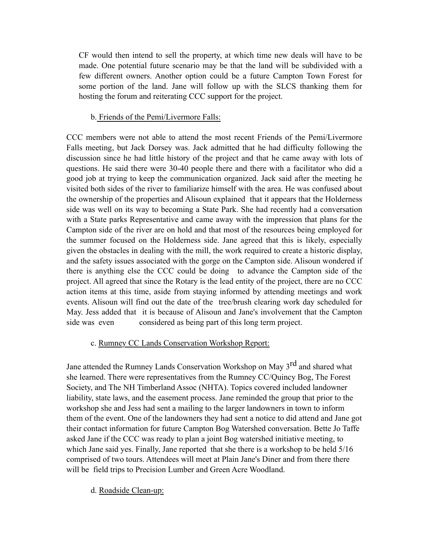CF would then intend to sell the property, at which time new deals will have to be made. One potential future scenario may be that the land will be subdivided with a few different owners. Another option could be a future Campton Town Forest for some portion of the land. Jane will follow up with the SLCS thanking them for hosting the forum and reiterating CCC support for the project.

## b. Friends of the Pemi/Livermore Falls:

CCC members were not able to attend the most recent Friends of the Pemi/Livermore Falls meeting, but Jack Dorsey was. Jack admitted that he had difficulty following the discussion since he had little history of the project and that he came away with lots of questions. He said there were 30-40 people there and there with a facilitator who did a good job at trying to keep the communication organized. Jack said after the meeting he visited both sides of the river to familiarize himself with the area. He was confused about the ownership of the properties and Alisoun explained that it appears that the Holderness side was well on its way to becoming a State Park. She had recently had a conversation with a State parks Representative and came away with the impression that plans for the Campton side of the river are on hold and that most of the resources being employed for the summer focused on the Holderness side. Jane agreed that this is likely, especially given the obstacles in dealing with the mill, the work required to create a historic display, and the safety issues associated with the gorge on the Campton side. Alisoun wondered if there is anything else the CCC could be doing to advance the Campton side of the project. All agreed that since the Rotary is the lead entity of the project, there are no CCC action items at this time, aside from staying informed by attending meetings and work events. Alisoun will find out the date of the tree/brush clearing work day scheduled for May. Jess added that it is because of Alisoun and Jane's involvement that the Campton side was even considered as being part of this long term project.

## c. Rumney CC Lands Conservation Workshop Report:

Jane attended the Rumney Lands Conservation Workshop on May 3<sup>rd</sup> and shared what she learned. There were representatives from the Rumney CC/Quincy Bog, The Forest Society, and The NH Timberland Assoc (NHTA). Topics covered included landowner liability, state laws, and the easement process. Jane reminded the group that prior to the workshop she and Jess had sent a mailing to the larger landowners in town to inform them of the event. One of the landowners they had sent a notice to did attend and Jane got their contact information for future Campton Bog Watershed conversation. Bette Jo Taffe asked Jane if the CCC was ready to plan a joint Bog watershed initiative meeting, to which Jane said yes. Finally, Jane reported that she there is a workshop to be held 5/16 comprised of two tours. Attendees will meet at Plain Jane's Diner and from there there will be field trips to Precision Lumber and Green Acre Woodland.

### d. Roadside Clean-up: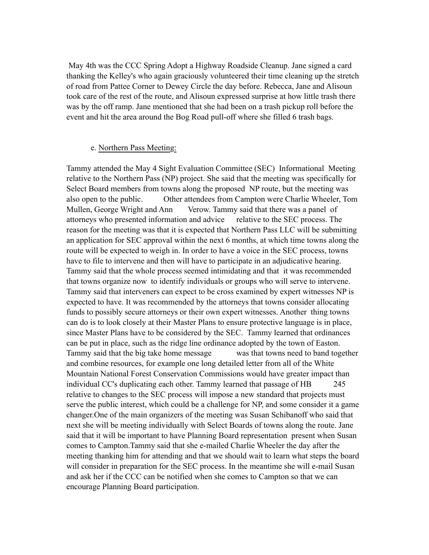May 4th was the CCC Spring Adopt a Highway Roadside Cleanup. Jane signed a card thanking the Kelley's who again graciously volunteered their time cleaning up the stretch of road from Pattee Corner to Dewey Circle the day before. Rebecca, Jane and Alisoun took care of the rest of the route, and Alisoun expressed surprise at how little trash there was by the off ramp. Jane mentioned that she had been on a trash pickup roll before the event and hit the area around the Bog Road pull-off where she filled 6 trash bags.

#### e. Northern Pass Meeting:

Tammy attended the May 4 Sight Evaluation Committee (SEC) Informational Meeting relative to the Northern Pass (NP) project. She said that the meeting was specifically for Select Board members from towns along the proposed NP route, but the meeting was also open to the public. Other attendees from Campton were Charlie Wheeler, Tom Mullen, George Wright and Ann Verow. Tammy said that there was a panel of attorneys who presented information and advice relative to the SEC process. The reason for the meeting was that it is expected that Northern Pass LLC will be submitting an application for SEC approval within the next 6 months, at which time towns along the route will be expected to weigh in. In order to have a voice in the SEC process, towns have to file to intervene and then will have to participate in an adjudicative hearing. Tammy said that the whole process seemed intimidating and that it was recommended that towns organize now to identify individuals or groups who will serve to intervene. Tammy said that interveners can expect to be cross examined by expert witnesses NP is expected to have. It was recommended by the attorneys that towns consider allocating funds to possibly secure attorneys or their own expert witnesses. Another thing towns can do is to look closely at their Master Plans to ensure protective language is in place, since Master Plans have to be considered by the SEC. Tammy learned that ordinances can be put in place, such as the ridge line ordinance adopted by the town of Easton. Tammy said that the big take home message was that towns need to band together and combine resources, for example one long detailed letter from all of the White Mountain National Forest Conservation Commissions would have greater impact than individual CC's duplicating each other. Tammy learned that passage of HB 245 relative to changes to the SEC process will impose a new standard that projects must serve the public interest, which could be a challenge for NP, and some consider it a game changer.One of the main organizers of the meeting was Susan Schibanoff who said that next she will be meeting individually with Select Boards of towns along the route. Jane said that it will be important to have Planning Board representation present when Susan comes to Campton.Tammy said that she e-mailed Charlie Wheeler the day after the meeting thanking him for attending and that we should wait to learn what steps the board will consider in preparation for the SEC process. In the meantime she will e-mail Susan and ask her if the CCC can be notified when she comes to Campton so that we can encourage Planning Board participation.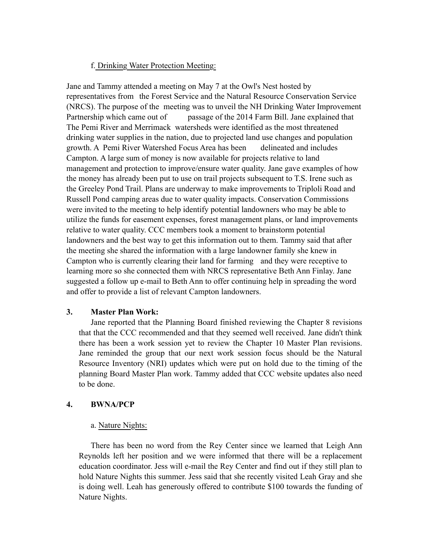## f. Drinking Water Protection Meeting:

Jane and Tammy attended a meeting on May 7 at the Owl's Nest hosted by representatives from the Forest Service and the Natural Resource Conservation Service (NRCS). The purpose of the meeting was to unveil the NH Drinking Water Improvement Partnership which came out of passage of the 2014 Farm Bill. Jane explained that The Pemi River and Merrimack watersheds were identified as the most threatened drinking water supplies in the nation, due to projected land use changes and population growth. A Pemi River Watershed Focus Area has been delineated and includes Campton. A large sum of money is now available for projects relative to land management and protection to improve/ensure water quality. Jane gave examples of how the money has already been put to use on trail projects subsequent to T.S. Irene such as the Greeley Pond Trail. Plans are underway to make improvements to Triploli Road and Russell Pond camping areas due to water quality impacts. Conservation Commissions were invited to the meeting to help identify potential landowners who may be able to utilize the funds for easement expenses, forest management plans, or land improvements relative to water quality. CCC members took a moment to brainstorm potential landowners and the best way to get this information out to them. Tammy said that after the meeting she shared the information with a large landowner family she knew in Campton who is currently clearing their land for farming and they were receptive to learning more so she connected them with NRCS representative Beth Ann Finlay. Jane suggested a follow up e-mail to Beth Ann to offer continuing help in spreading the word and offer to provide a list of relevant Campton landowners.

### **3. Master Plan Work:**

Jane reported that the Planning Board finished reviewing the Chapter 8 revisions that that the CCC recommended and that they seemed well received. Jane didn't think there has been a work session yet to review the Chapter 10 Master Plan revisions. Jane reminded the group that our next work session focus should be the Natural Resource Inventory (NRI) updates which were put on hold due to the timing of the planning Board Master Plan work. Tammy added that CCC website updates also need to be done.

## **4. BWNA/PCP**

### a. Nature Nights:

There has been no word from the Rey Center since we learned that Leigh Ann Reynolds left her position and we were informed that there will be a replacement education coordinator. Jess will e-mail the Rey Center and find out if they still plan to hold Nature Nights this summer. Jess said that she recently visited Leah Gray and she is doing well. Leah has generously offered to contribute \$100 towards the funding of Nature Nights.